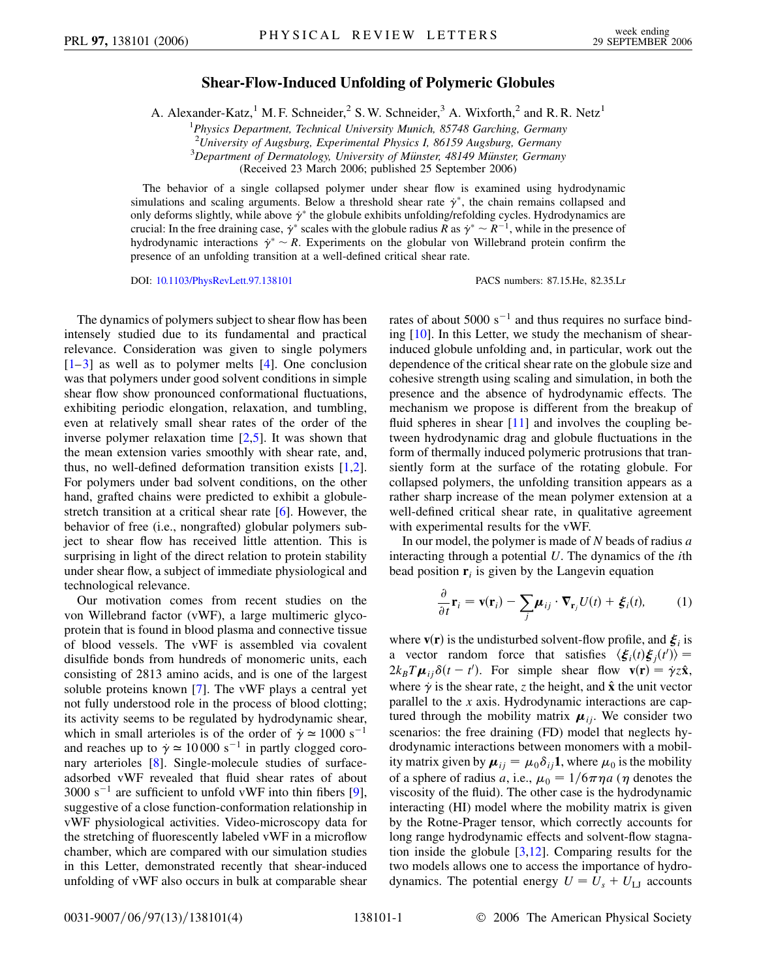## **Shear-Flow-Induced Unfolding of Polymeric Globules**

A. Alexander-Katz,<sup>1</sup> M. F. Schneider,<sup>2</sup> S. W. Schneider,<sup>3</sup> A. Wixforth,<sup>2</sup> and R. R. Netz<sup>1</sup>

1 *Physics Department, Technical University Munich, 85748 Garching, Germany*

<sup>2</sup> University of Augsburg, Experimental Physics I, 86159 Augsburg, Germany<br><sup>3</sup> Department of Dermatology, University of Münster, 48140 Münster, German

<sup>3</sup>Department of Dermatology, University of Münster, 48149 Münster, Germany

(Received 23 March 2006; published 25 September 2006)

The behavior of a single collapsed polymer under shear flow is examined using hydrodynamic simulations and scaling arguments. Below a threshold shear rate  $\dot{\gamma}^*$ , the chain remains collapsed and only deforms slightly, while above  $\dot{\gamma}^*$  the globule exhibits unfolding/refolding cycles. Hydrodynamics are crucial: In the free draining case,  $\dot{\gamma}^*$  scales with the globule radius *R* as  $\dot{\gamma}^* \sim R^{-1}$ , while in the presence of hydrodynamic interactions  $\dot{\gamma}^* \sim R$ . Experiments on the globular von Willebrand protein confirm the presence of an unfolding transition at a well-defined critical shear rate.

DOI: [10.1103/PhysRevLett.97.138101](http://dx.doi.org/10.1103/PhysRevLett.97.138101) PACS numbers: 87.15.He, 82.35.Lr

The dynamics of polymers subject to shear flow has been intensely studied due to its fundamental and practical relevance. Consideration was given to single polymers  $[1-3]$  $[1-3]$  $[1-3]$  as well as to polymer melts  $[4]$ . One conclusion was that polymers under good solvent conditions in simple shear flow show pronounced conformational fluctuations, exhibiting periodic elongation, relaxation, and tumbling, even at relatively small shear rates of the order of the inverse polymer relaxation time [[2,](#page-3-3)[5\]](#page-3-4). It was shown that the mean extension varies smoothly with shear rate, and, thus, no well-defined deformation transition exists [[1](#page-3-0),[2\]](#page-3-3). For polymers under bad solvent conditions, on the other hand, grafted chains were predicted to exhibit a globulestretch transition at a critical shear rate [\[6](#page-3-5)]. However, the behavior of free (i.e., nongrafted) globular polymers subject to shear flow has received little attention. This is surprising in light of the direct relation to protein stability under shear flow, a subject of immediate physiological and technological relevance.

Our motivation comes from recent studies on the von Willebrand factor (vWF), a large multimeric glycoprotein that is found in blood plasma and connective tissue of blood vessels. The vWF is assembled via covalent disulfide bonds from hundreds of monomeric units, each consisting of 2813 amino acids, and is one of the largest soluble proteins known [[7\]](#page-3-6). The vWF plays a central yet not fully understood role in the process of blood clotting; its activity seems to be regulated by hydrodynamic shear, which in small arterioles is of the order of  $\gamma \approx 1000 \text{ s}^{-1}$ and reaches up to  $\dot{\gamma} \approx 10000 \text{ s}^{-1}$  in partly clogged coronary arterioles [[8](#page-3-7)]. Single-molecule studies of surfaceadsorbed vWF revealed that fluid shear rates of about  $3000 \text{ s}^{-1}$  are sufficient to unfold vWF into thin fibers [[9\]](#page-3-8), suggestive of a close function-conformation relationship in vWF physiological activities. Video-microscopy data for the stretching of fluorescently labeled vWF in a microflow chamber, which are compared with our simulation studies in this Letter, demonstrated recently that shear-induced unfolding of vWF also occurs in bulk at comparable shear rates of about  $5000 \text{ s}^{-1}$  and thus requires no surface binding [[10](#page-3-9)]. In this Letter, we study the mechanism of shearinduced globule unfolding and, in particular, work out the dependence of the critical shear rate on the globule size and cohesive strength using scaling and simulation, in both the presence and the absence of hydrodynamic effects. The mechanism we propose is different from the breakup of fluid spheres in shear [\[11\]](#page-3-10) and involves the coupling between hydrodynamic drag and globule fluctuations in the form of thermally induced polymeric protrusions that transiently form at the surface of the rotating globule. For collapsed polymers, the unfolding transition appears as a rather sharp increase of the mean polymer extension at a well-defined critical shear rate, in qualitative agreement with experimental results for the vWF.

<span id="page-0-0"></span>In our model, the polymer is made of *N* beads of radius *a* interacting through a potential *U*. The dynamics of the *i*th bead position  $\mathbf{r}_i$  is given by the Langevin equation

$$
\frac{\partial}{\partial t}\mathbf{r}_i = \mathbf{v}(\mathbf{r}_i) - \sum_j \boldsymbol{\mu}_{ij} \cdot \nabla_{\mathbf{r}_j} U(t) + \boldsymbol{\xi}_i(t), \quad (1)
$$

where  $\mathbf{v}(\mathbf{r})$  is the undisturbed solvent-flow profile, and  $\boldsymbol{\xi}_i$  is a vector random force that satisfies  $\langle \xi_i(t) \xi_j(t') \rangle =$  $2k_B T \mu_{ij} \delta(t - t')$ . For simple shear flow  $\mathbf{v}(\mathbf{r}) = \dot{\gamma} z \hat{\mathbf{x}}$ , where  $\dot{\gamma}$  is the shear rate, *z* the height, and  $\hat{x}$  the unit vector parallel to the *x* axis. Hydrodynamic interactions are captured through the mobility matrix  $\mu_{ij}$ . We consider two scenarios: the free draining (FD) model that neglects hydrodynamic interactions between monomers with a mobility matrix given by  $\boldsymbol{\mu}_{ij} = \mu_0 \delta_{ij} \mathbf{1}$ , where  $\mu_0$  is the mobility of a sphere of radius *a*, i.e.,  $\mu_0 = 1/6\pi\eta a$  ( $\eta$  denotes the viscosity of the fluid). The other case is the hydrodynamic interacting (HI) model where the mobility matrix is given by the Rotne-Prager tensor, which correctly accounts for long range hydrodynamic effects and solvent-flow stagnation inside the globule  $[3,12]$  $[3,12]$  $[3,12]$  $[3,12]$ . Comparing results for the two models allows one to access the importance of hydrodynamics. The potential energy  $U = U_s + U_{LJ}$  accounts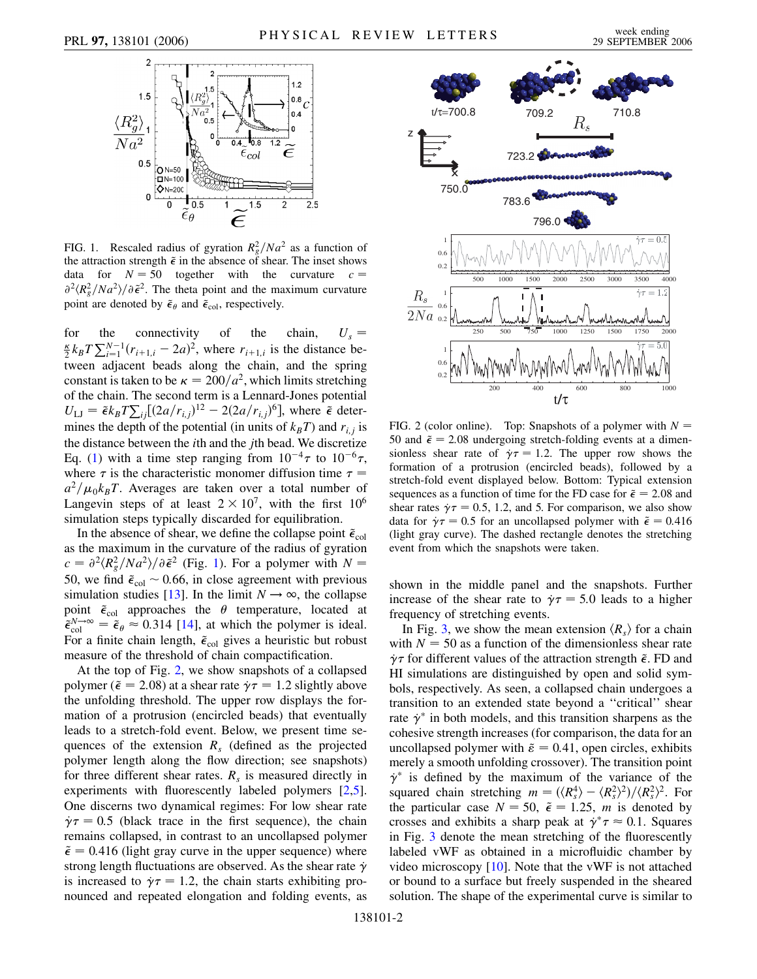<span id="page-1-0"></span>

FIG. 1. Rescaled radius of gyration  $R_g^2/Na^2$  as a function of the attraction strength  $\tilde{\epsilon}$  in the absence of shear. The inset shows data for  $N = 50$  together with the curvature  $c =$  $\partial^2 \langle R_g^2/N a^2 \rangle / \partial \tilde{\epsilon}^2$ . The theta point and the maximum curvature point are denoted by  $\tilde{\epsilon}_{\theta}$  and  $\tilde{\epsilon}_{\text{col}}$ , respectively.

for the connectivity of the chain,  $U_s = \frac{\kappa}{2} k_B T \sum_{i=1}^{N-1} (r_{i+1,i} - 2a)^2$ , where  $r_{i+1,i}$  is the distance between adjacent beads along the chain, and the spring constant is taken to be  $\kappa = 200/a^2$ , which limits stretching of the chain. The second term is a Lennard-Jones potential  $U_{\text{LJ}} = \tilde{\epsilon} k_B T \sum_{i,j} [(2a/r_{i,j})^{12} - 2(2a/r_{i,j})^6]$ , where  $\tilde{\epsilon}$  determines the depth of the potential (in units of  $k_B T$ ) and  $r_{i,j}$  is the distance between the *i*th and the *j*th bead. We discretize Eq. [\(1](#page-0-0)) with a time step ranging from  $10^{-4}\tau$  to  $10^{-6}\tau$ , where  $\tau$  is the characteristic monomer diffusion time  $\tau =$  $a^2/\mu_0 k_B T$ . Averages are taken over a total number of Langevin steps of at least  $2 \times 10^7$ , with the first  $10^6$ simulation steps typically discarded for equilibration.

In the absence of shear, we define the collapse point  $\tilde{\epsilon}_{\text{col}}$ as the maximum in the curvature of the radius of gyration  $c = \frac{\partial^2 \langle R_g^2/N a^2 \rangle}{\partial \tilde{\epsilon}^2}$  (Fig. [1](#page-1-0)). For a polymer with  $N =$ 50, we find  $\tilde{\epsilon}_{\text{col}} \sim 0.66$ , in close agreement with previous simulation studies [[13](#page-3-12)]. In the limit  $N \rightarrow \infty$ , the collapse point  $\tilde{\epsilon}_{\text{col}}$  approaches the  $\theta$  temperature, located at  $\tilde{\epsilon}_{\text{col}}^{N \to \infty} = \tilde{\epsilon}_{\theta} \approx 0.314$  [\[14\]](#page-3-13), at which the polymer is ideal. For a finite chain length,  $\tilde{\epsilon}_{\text{col}}$  gives a heuristic but robust measure of the threshold of chain compactification.

At the top of Fig. [2](#page-1-1), we show snapshots of a collapsed polymer ( $\tilde{\epsilon}$  = 2.08) at a shear rate  $\gamma \tau$  = 1.2 slightly above the unfolding threshold. The upper row displays the formation of a protrusion (encircled beads) that eventually leads to a stretch-fold event. Below, we present time sequences of the extension  $R<sub>s</sub>$  (defined as the projected polymer length along the flow direction; see snapshots) for three different shear rates.  $R<sub>s</sub>$  is measured directly in experiments with fluorescently labeled polymers [[2](#page-3-3),[5\]](#page-3-4). One discerns two dynamical regimes: For low shear rate  $\dot{\gamma} \tau = 0.5$  (black trace in the first sequence), the chain remains collapsed, in contrast to an uncollapsed polymer  $\tilde{\epsilon} = 0.416$  (light gray curve in the upper sequence) where strong length fluctuations are observed. As the shear rate  $\dot{\gamma}$ is increased to  $\gamma \tau = 1.2$ , the chain starts exhibiting pronounced and repeated elongation and folding events, as

<span id="page-1-1"></span>

FIG. 2 (color online). Top: Snapshots of a polymer with  $N =$ 50 and  $\tilde{\epsilon} = 2.08$  undergoing stretch-folding events at a dimensionless shear rate of  $\gamma \tau = 1.2$ . The upper row shows the formation of a protrusion (encircled beads), followed by a stretch-fold event displayed below. Bottom: Typical extension sequences as a function of time for the FD case for  $\tilde{\epsilon} = 2.08$  and shear rates  $\gamma = 0.5$ , 1.2, and 5. For comparison, we also show data for  $\dot{\gamma}\tau = 0.5$  for an uncollapsed polymer with  $\tilde{\epsilon} = 0.416$ (light gray curve). The dashed rectangle denotes the stretching event from which the snapshots were taken.

shown in the middle panel and the snapshots. Further increase of the shear rate to  $\gamma = 5.0$  leads to a higher frequency of stretching events.

In Fig. [3](#page-2-0), we show the mean extension  $\langle R_s \rangle$  for a chain with  $N = 50$  as a function of the dimensionless shear rate  $\gamma \tau$  for different values of the attraction strength  $\tilde{\epsilon}$ . FD and HI simulations are distinguished by open and solid symbols, respectively. As seen, a collapsed chain undergoes a transition to an extended state beyond a ''critical'' shear rate  $\dot{\gamma}^*$  in both models, and this transition sharpens as the cohesive strength increases (for comparison, the data for an uncollapsed polymer with  $\tilde{\varepsilon} = 0.41$ , open circles, exhibits merely a smooth unfolding crossover). The transition point  $\dot{\gamma}^*$  is defined by the maximum of the variance of the squared chain stretching  $m = (\langle R_s^4 \rangle - \langle R_s^2 \rangle^2) / \langle R_s^2 \rangle^2$ . For the particular case  $N = 50$ ,  $\tilde{\epsilon} = 1.25$ , *m* is denoted by crosses and exhibits a sharp peak at  $\dot{\gamma}^* \tau \approx 0.1$ . Squares in Fig. [3](#page-2-0) denote the mean stretching of the fluorescently labeled vWF as obtained in a microfluidic chamber by video microscopy  $[10]$  $[10]$  $[10]$ . Note that the vWF is not attached or bound to a surface but freely suspended in the sheared solution. The shape of the experimental curve is similar to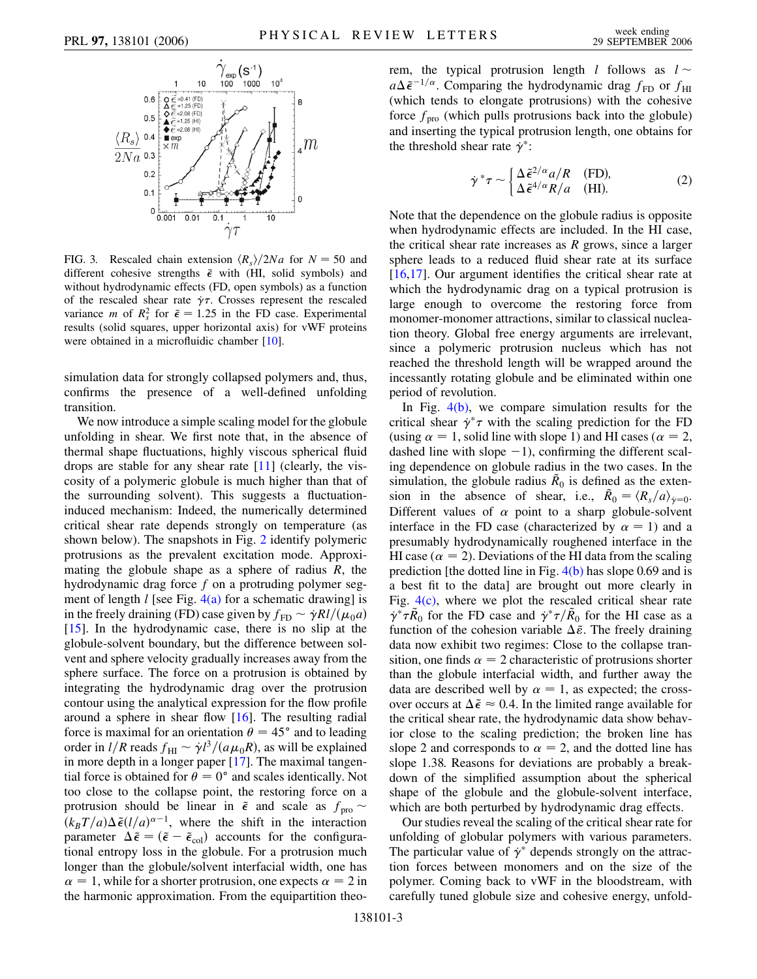<span id="page-2-0"></span>

FIG. 3. Rescaled chain extension  $\langle R_s \rangle / 2Na$  for  $N = 50$  and different cohesive strengths  $\tilde{\epsilon}$  with (HI, solid symbols) and without hydrodynamic effects (FD, open symbols) as a function of the rescaled shear rate  $\dot{\gamma}\tau$ . Crosses represent the rescaled variance *m* of  $R_s^2$  for  $\tilde{\epsilon} = 1.25$  in the FD case. Experimental results (solid squares, upper horizontal axis) for vWF proteins were obtained in a microfluidic chamber [\[10\]](#page-3-9).

simulation data for strongly collapsed polymers and, thus, confirms the presence of a well-defined unfolding transition.

We now introduce a simple scaling model for the globule unfolding in shear. We first note that, in the absence of thermal shape fluctuations, highly viscous spherical fluid drops are stable for any shear rate [[11](#page-3-10)] (clearly, the viscosity of a polymeric globule is much higher than that of the surrounding solvent). This suggests a fluctuationinduced mechanism: Indeed, the numerically determined critical shear rate depends strongly on temperature (as shown below). The snapshots in Fig. [2](#page-1-1) identify polymeric protrusions as the prevalent excitation mode. Approximating the globule shape as a sphere of radius *R*, the hydrodynamic drag force *f* on a protruding polymer segment of length *l* [see Fig. [4\(a\)](#page-3-14) for a schematic drawing] is in the freely draining (FD) case given by  $f_{\text{FD}} \sim \dot{\gamma} R l / (\mu_0 a)$ [\[15\]](#page-3-15). In the hydrodynamic case, there is no slip at the globule-solvent boundary, but the difference between solvent and sphere velocity gradually increases away from the sphere surface. The force on a protrusion is obtained by integrating the hydrodynamic drag over the protrusion contour using the analytical expression for the flow profile around a sphere in shear flow [[16](#page-3-16)]. The resulting radial force is maximal for an orientation  $\theta = 45^{\circ}$  and to leading order in  $l/R$  reads  $f_{\text{HI}} \sim \dot{\gamma} l^3 / (a \mu_0 R)$ , as will be explained in more depth in a longer paper [[17\]](#page-3-17). The maximal tangential force is obtained for  $\theta = 0^{\circ}$  and scales identically. Not too close to the collapse point, the restoring force on a protrusion should be linear in  $\tilde{\epsilon}$  and scale as  $f_{\text{pro}} \sim$  $(k_BT/a)\Delta\tilde{\epsilon}(l/a)^{\alpha-1}$ , where the shift in the interaction parameter  $\Delta \tilde{\epsilon} = (\tilde{\epsilon} - \tilde{\epsilon}_{\rm col})$  accounts for the configurational entropy loss in the globule. For a protrusion much longer than the globule/solvent interfacial width, one has  $\alpha = 1$ , while for a shorter protrusion, one expects  $\alpha = 2$  in the harmonic approximation. From the equipartition theo-

rem, the typical protrusion length *l* follows as  $l \sim$  $a\Delta\tilde{\epsilon}^{-1/\alpha}$ . Comparing the hydrodynamic drag  $f_{FD}$  or  $f_{HI}$ (which tends to elongate protrusions) with the cohesive force  $f_{\text{pro}}$  (which pulls protrusions back into the globule) and inserting the typical protrusion length, one obtains for the threshold shear rate  $\dot{\gamma}^*$ :

$$
\dot{\gamma}^* \tau \sim \begin{cases} \Delta \tilde{\epsilon}^{2/\alpha} a/R & \text{(FD)},\\ \Delta \tilde{\epsilon}^{4/\alpha} R/a & \text{(HI)}. \end{cases}
$$
 (2)

<span id="page-2-1"></span>Note that the dependence on the globule radius is opposite when hydrodynamic effects are included. In the HI case, the critical shear rate increases as *R* grows, since a larger sphere leads to a reduced fluid shear rate at its surface [\[16](#page-3-16)[,17\]](#page-3-17). Our argument identifies the critical shear rate at which the hydrodynamic drag on a typical protrusion is large enough to overcome the restoring force from monomer-monomer attractions, similar to classical nucleation theory. Global free energy arguments are irrelevant, since a polymeric protrusion nucleus which has not reached the threshold length will be wrapped around the incessantly rotating globule and be eliminated within one period of revolution.

In Fig. [4\(b\)](#page-3-14), we compare simulation results for the critical shear  $\dot{\gamma}^* \tau$  with the scaling prediction for the FD (using  $\alpha = 1$ , solid line with slope 1) and HI cases ( $\alpha = 2$ , dashed line with slope  $-1$ ), confirming the different scaling dependence on globule radius in the two cases. In the simulation, the globule radius  $\tilde{R}_0$  is defined as the extension in the absence of shear, i.e.,  $\tilde{R}_0 = \langle R_s/a \rangle_{\dot{\gamma}=0}$ . Different values of  $\alpha$  point to a sharp globule-solvent interface in the FD case (characterized by  $\alpha = 1$ ) and a presumably hydrodynamically roughened interface in the HI case ( $\alpha = 2$ ). Deviations of the HI data from the scaling prediction [the dotted line in Fig.  $4(b)$  has slope 0.69 and is a best fit to the data] are brought out more clearly in Fig.  $4(c)$ , where we plot the rescaled critical shear rate  $\dot{\gamma}^* \tau \tilde{R}_0$  for the FD case and  $\dot{\gamma}^* \tau / \tilde{R}_0$  for the HI case as a function of the cohesion variable  $\Delta \tilde{\varepsilon}$ . The freely draining data now exhibit two regimes: Close to the collapse transition, one finds  $\alpha = 2$  characteristic of protrusions shorter than the globule interfacial width, and further away the data are described well by  $\alpha = 1$ , as expected; the crossover occurs at  $\Delta \tilde{\epsilon} \approx 0.4$ . In the limited range available for the critical shear rate, the hydrodynamic data show behavior close to the scaling prediction; the broken line has slope 2 and corresponds to  $\alpha = 2$ , and the dotted line has slope 1.38. Reasons for deviations are probably a breakdown of the simplified assumption about the spherical shape of the globule and the globule-solvent interface, which are both perturbed by hydrodynamic drag effects.

Our studies reveal the scaling of the critical shear rate for unfolding of globular polymers with various parameters. The particular value of  $\dot{\gamma}^*$  depends strongly on the attraction forces between monomers and on the size of the polymer. Coming back to vWF in the bloodstream, with carefully tuned globule size and cohesive energy, unfold-